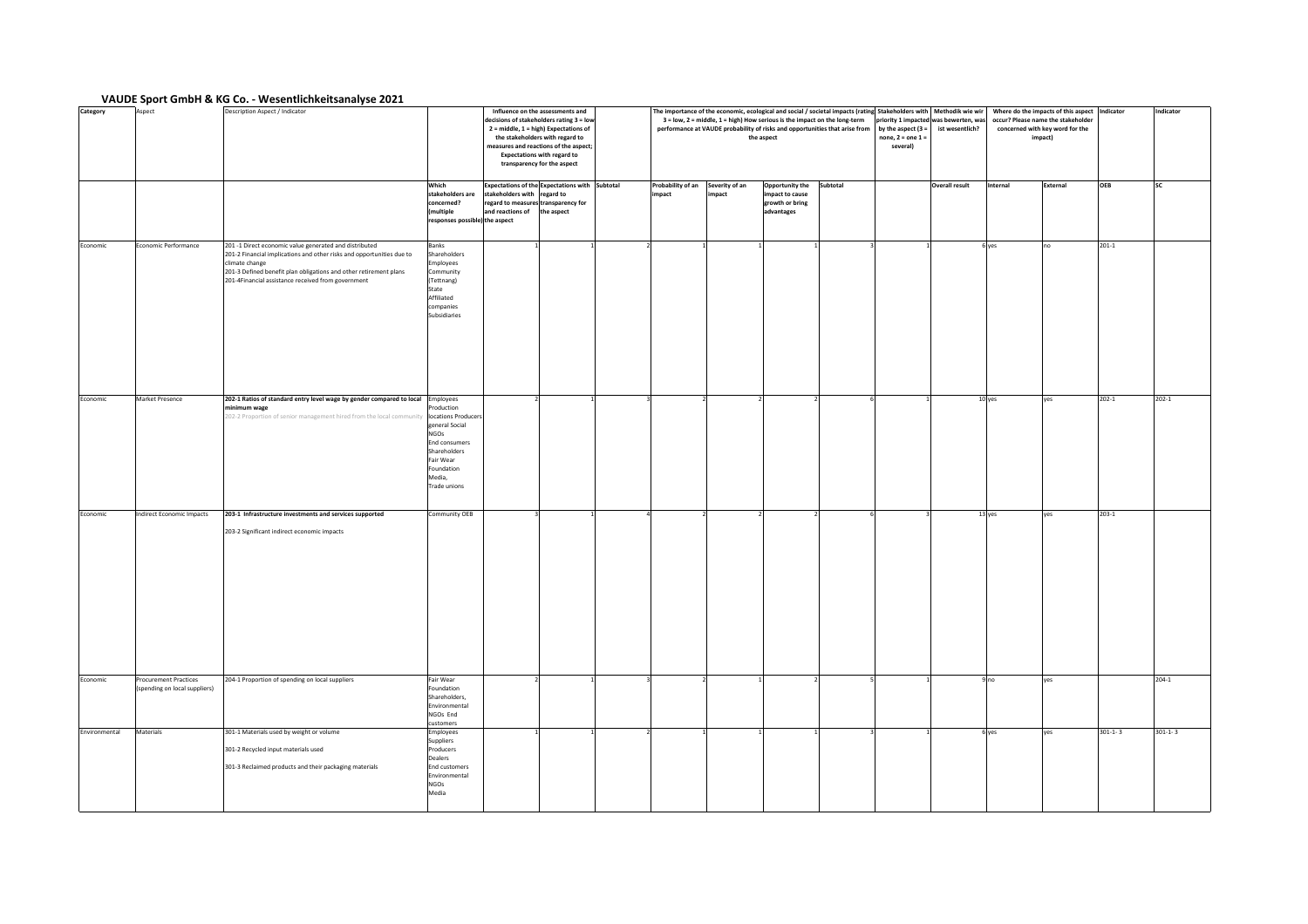## **VAUDE Sport GmbH & KG Co. - Wesentlichkeitsanalyse 2021**

| Category      | Aspect                                                        | Description Aspect / Indicator                                                                                                                                                                                                                                               |                                                                                                                                          |                                                                                                                                          | Influence on the assessments and<br>decisions of stakeholders rating 3 = low<br>2 = middle, 1 = high) Expectations of<br>the stakeholders with regard to<br>measures and reactions of the aspect;<br><b>Expectations with regard to</b><br>transparency for the aspect |                             |                         | The importance of the economic, ecological and social / societal impacts (rating Stakeholders with   Methodik wie wir<br>3 = low, 2 = middle, 1 = high) How serious is the impact on the long-term<br>performance at VAUDE probability of risks and opportunities that arise from<br>the aspect |          | priority 1 impacted was bewerten, was<br>by the aspect $(3 =$<br>none, $2 =$ one $1 =$<br>several) | ist wesentlich?       | Where do the impacts of this aspect Indicator<br>occur? Please name the stakeholder<br>concerned with key word for the<br>impact) |          |               | Indicator     |
|---------------|---------------------------------------------------------------|------------------------------------------------------------------------------------------------------------------------------------------------------------------------------------------------------------------------------------------------------------------------------|------------------------------------------------------------------------------------------------------------------------------------------|------------------------------------------------------------------------------------------------------------------------------------------|------------------------------------------------------------------------------------------------------------------------------------------------------------------------------------------------------------------------------------------------------------------------|-----------------------------|-------------------------|-------------------------------------------------------------------------------------------------------------------------------------------------------------------------------------------------------------------------------------------------------------------------------------------------|----------|----------------------------------------------------------------------------------------------------|-----------------------|-----------------------------------------------------------------------------------------------------------------------------------|----------|---------------|---------------|
|               |                                                               |                                                                                                                                                                                                                                                                              | Which<br>stakeholders are<br>concerned?<br>(multiple<br>responses possible) the aspect                                                   | Expectations of the Expectations with Subtotal<br>stakeholders with regard to<br>regard to measures transparency for<br>and reactions of | the aspect                                                                                                                                                                                                                                                             | Probability of an<br>impact | Severity of an<br>mpact | Opportunity the<br>impact to cause<br>growth or bring<br>advantages                                                                                                                                                                                                                             | Subtotal |                                                                                                    | <b>Overall result</b> | Internal                                                                                                                          | External | OEB           |               |
| Economic      | Economic Performance                                          | 201 -1 Direct economic value generated and distributed<br>201-2 Financial implications and other risks and opportunities due to<br>climate change<br>201-3 Defined benefit plan obligations and other retirement plans<br>201-4Financial assistance received from government | Banks<br>Shareholders<br>Employees<br>Community<br>(Tettnang)<br>State<br>Affiliated<br>companies<br>Subsidiaries                        |                                                                                                                                          |                                                                                                                                                                                                                                                                        |                             |                         |                                                                                                                                                                                                                                                                                                 |          |                                                                                                    |                       | 6 yes                                                                                                                             | no       | $201 - 1$     |               |
| Economic      | <b>Market Presence</b>                                        | 202-1 Ratios of standard entry level wage by gender compared to local Employees<br>minimum wage<br>202-2 Proportion of senior management hired from the local community locations Producers                                                                                  | Production<br>general Social<br><b>NGOs</b><br><b>End consumers</b><br>Shareholders<br>Fair Wear<br>Foundation<br>Media,<br>Trade unions |                                                                                                                                          |                                                                                                                                                                                                                                                                        |                             |                         |                                                                                                                                                                                                                                                                                                 |          |                                                                                                    |                       | 10 yes                                                                                                                            | yes      | $202 - 1$     | $202 - 1$     |
| Economic      | <b>Indirect Economic Impacts</b>                              | 203-1 Infrastructure investments and services supported<br>203-2 Significant indirect economic impacts                                                                                                                                                                       | Community OEB                                                                                                                            |                                                                                                                                          |                                                                                                                                                                                                                                                                        |                             |                         |                                                                                                                                                                                                                                                                                                 |          |                                                                                                    |                       | 13 yes                                                                                                                            | ves      | $203 - 1$     |               |
| Economic      | <b>Procurement Practices</b><br>(spending on local suppliers) | 204-1 Proportion of spending on local suppliers                                                                                                                                                                                                                              | Fair Wear<br>Foundation<br>Shareholders,<br>Environmental<br>NGOs End<br>customers                                                       |                                                                                                                                          |                                                                                                                                                                                                                                                                        |                             |                         |                                                                                                                                                                                                                                                                                                 |          |                                                                                                    |                       | 9n <sub>0</sub>                                                                                                                   | yes      |               | $204 - 1$     |
| Environmental | Materials                                                     | 301-1 Materials used by weight or volume<br>301-2 Recycled input materials used<br>301-3 Reclaimed products and their packaging materials                                                                                                                                    | Employees<br>Suppliers<br>Producers<br>Dealers<br>End customers<br>Environmental<br><b>NGOs</b><br>Media                                 |                                                                                                                                          |                                                                                                                                                                                                                                                                        |                             |                         |                                                                                                                                                                                                                                                                                                 |          |                                                                                                    |                       | 6 yes                                                                                                                             | yes      | $301 - 1 - 3$ | $301 - 1 - 3$ |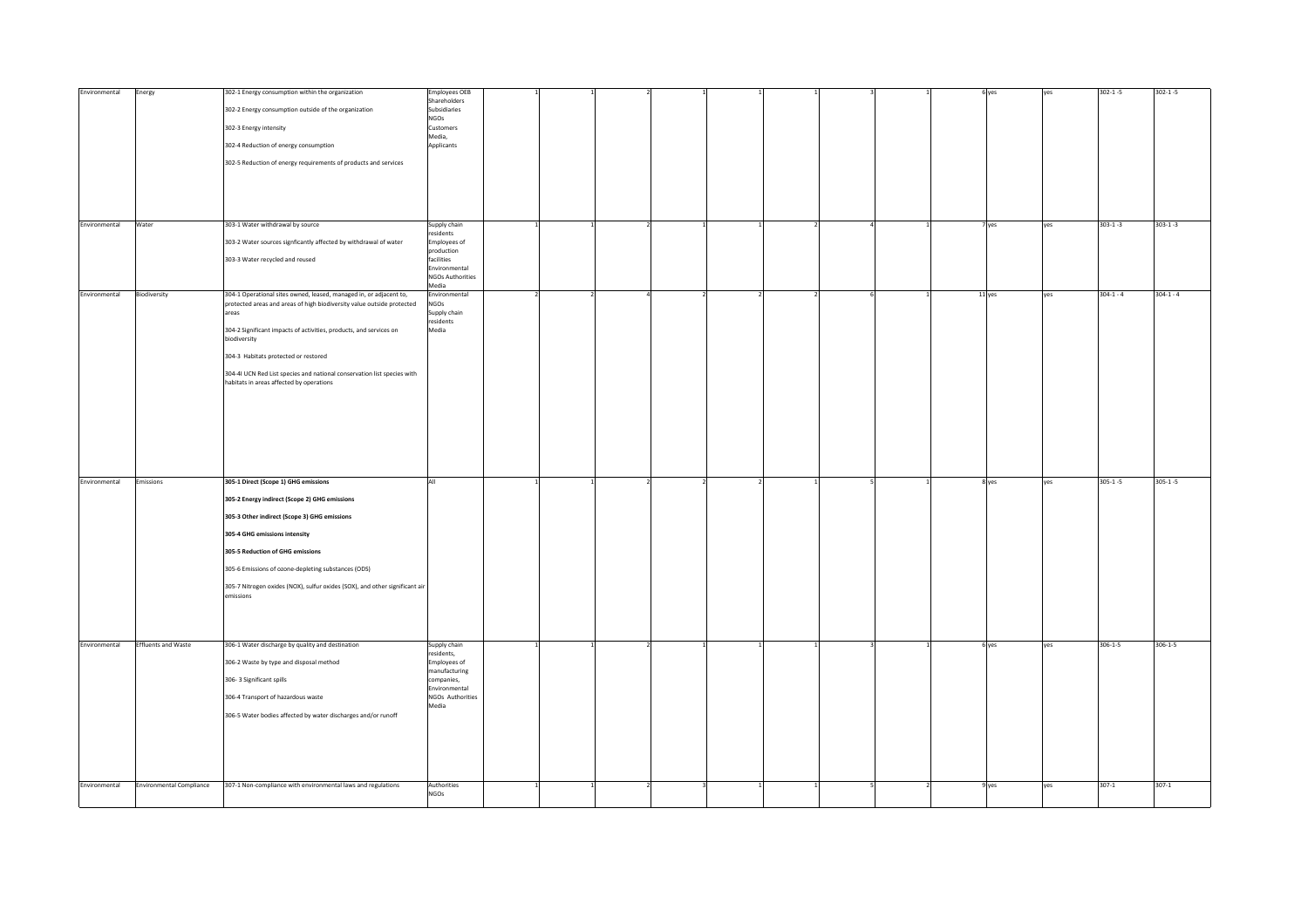| Environmental | Energy                          | 302-1 Energy consumption within the organization                                                                    | <b>Employees OEB</b><br>Shareholders |  |  |  |  | 6 yes  | <b>VPS</b> | $302 - 1 - 5$ | $302 - 1 - 5$ |
|---------------|---------------------------------|---------------------------------------------------------------------------------------------------------------------|--------------------------------------|--|--|--|--|--------|------------|---------------|---------------|
|               |                                 | 302-2 Energy consumption outside of the organization                                                                | Subsidiaries                         |  |  |  |  |        |            |               |               |
|               |                                 |                                                                                                                     | NGOs                                 |  |  |  |  |        |            |               |               |
|               |                                 | 302-3 Energy intensity                                                                                              | Customers                            |  |  |  |  |        |            |               |               |
|               |                                 |                                                                                                                     | Media,                               |  |  |  |  |        |            |               |               |
|               |                                 | 302-4 Reduction of energy consumption                                                                               | Applicants                           |  |  |  |  |        |            |               |               |
|               |                                 |                                                                                                                     |                                      |  |  |  |  |        |            |               |               |
|               |                                 | 302-5 Reduction of energy requirements of products and services                                                     |                                      |  |  |  |  |        |            |               |               |
|               |                                 |                                                                                                                     |                                      |  |  |  |  |        |            |               |               |
|               |                                 |                                                                                                                     |                                      |  |  |  |  |        |            |               |               |
|               |                                 |                                                                                                                     |                                      |  |  |  |  |        |            |               |               |
|               |                                 |                                                                                                                     |                                      |  |  |  |  |        |            |               |               |
|               |                                 |                                                                                                                     |                                      |  |  |  |  |        |            |               |               |
| Environmental | Water                           | 303-1 Water withdrawal by source                                                                                    |                                      |  |  |  |  |        | yes        | $303 - 1 - 3$ | $303 - 1 - 3$ |
|               |                                 |                                                                                                                     | Supply chain<br>esidents             |  |  |  |  | 7 yes  |            |               |               |
|               |                                 | 303-2 Water sources signficantly affected by withdrawal of water                                                    | Employees of                         |  |  |  |  |        |            |               |               |
|               |                                 |                                                                                                                     | production                           |  |  |  |  |        |            |               |               |
|               |                                 | 303-3 Water recycled and reused                                                                                     | facilities                           |  |  |  |  |        |            |               |               |
|               |                                 |                                                                                                                     | Environmental                        |  |  |  |  |        |            |               |               |
|               |                                 |                                                                                                                     | <b>NGOs Authorities</b>              |  |  |  |  |        |            |               |               |
|               |                                 |                                                                                                                     | Media                                |  |  |  |  |        |            |               |               |
| Environmental | Biodiversity                    | 304-1 Operational sites owned, leased, managed in, or adjacent to,                                                  | invironmental<br>NGOs                |  |  |  |  | 11 yes | yes        | $304 - 1 - 4$ | $304 - 1 - 4$ |
|               |                                 | protected areas and areas of high biodiversity value outside protected<br>areas                                     | Supply chain                         |  |  |  |  |        |            |               |               |
|               |                                 |                                                                                                                     | residents                            |  |  |  |  |        |            |               |               |
|               |                                 | 304-2 Significant impacts of activities, products, and services on                                                  | Media                                |  |  |  |  |        |            |               |               |
|               |                                 | biodiversity                                                                                                        |                                      |  |  |  |  |        |            |               |               |
|               |                                 |                                                                                                                     |                                      |  |  |  |  |        |            |               |               |
|               |                                 | 304-3 Habitats protected or restored                                                                                |                                      |  |  |  |  |        |            |               |               |
|               |                                 |                                                                                                                     |                                      |  |  |  |  |        |            |               |               |
|               |                                 | 304-41 UCN Red List species and national conservation list species with<br>habitats in areas affected by operations |                                      |  |  |  |  |        |            |               |               |
|               |                                 |                                                                                                                     |                                      |  |  |  |  |        |            |               |               |
|               |                                 |                                                                                                                     |                                      |  |  |  |  |        |            |               |               |
|               |                                 |                                                                                                                     |                                      |  |  |  |  |        |            |               |               |
|               |                                 |                                                                                                                     |                                      |  |  |  |  |        |            |               |               |
|               |                                 |                                                                                                                     |                                      |  |  |  |  |        |            |               |               |
|               |                                 |                                                                                                                     |                                      |  |  |  |  |        |            |               |               |
|               |                                 |                                                                                                                     |                                      |  |  |  |  |        |            |               |               |
|               |                                 |                                                                                                                     |                                      |  |  |  |  |        |            |               |               |
|               |                                 |                                                                                                                     |                                      |  |  |  |  |        |            |               |               |
|               |                                 |                                                                                                                     |                                      |  |  |  |  |        |            |               |               |
| Environmental | Emissions                       | 305-1 Direct (Scope 1) GHG emissions                                                                                | ΔII                                  |  |  |  |  | 8 yes  | ves        | $305 - 1 - 5$ | $305 - 1 - 5$ |
|               |                                 |                                                                                                                     |                                      |  |  |  |  |        |            |               |               |
|               |                                 | 305-2 Energy indirect (Scope 2) GHG emissions                                                                       |                                      |  |  |  |  |        |            |               |               |
|               |                                 | 305-3 Other indirect (Scope 3) GHG emissions                                                                        |                                      |  |  |  |  |        |            |               |               |
|               |                                 |                                                                                                                     |                                      |  |  |  |  |        |            |               |               |
|               |                                 | 305-4 GHG emissions intensity                                                                                       |                                      |  |  |  |  |        |            |               |               |
|               |                                 |                                                                                                                     |                                      |  |  |  |  |        |            |               |               |
|               |                                 | 305-5 Reduction of GHG emissions                                                                                    |                                      |  |  |  |  |        |            |               |               |
|               |                                 |                                                                                                                     |                                      |  |  |  |  |        |            |               |               |
|               |                                 | 305-6 Emissions of ozone-depleting substances (ODS)                                                                 |                                      |  |  |  |  |        |            |               |               |
|               |                                 | 305-7 Nitrogen oxides (NOX), sulfur oxides (SOX), and other significant air                                         |                                      |  |  |  |  |        |            |               |               |
|               |                                 | emissions                                                                                                           |                                      |  |  |  |  |        |            |               |               |
|               |                                 |                                                                                                                     |                                      |  |  |  |  |        |            |               |               |
|               |                                 |                                                                                                                     |                                      |  |  |  |  |        |            |               |               |
|               |                                 |                                                                                                                     |                                      |  |  |  |  |        |            |               |               |
|               |                                 |                                                                                                                     |                                      |  |  |  |  |        |            |               |               |
| Environmental | <b>Effluents and Waste</b>      | 306-1 Water discharge by quality and destination                                                                    | Supply chain                         |  |  |  |  | 6 yes  | yes        | $306 - 1 - 5$ | $306 - 1 - 5$ |
|               |                                 |                                                                                                                     | residents,                           |  |  |  |  |        |            |               |               |
|               |                                 | 306-2 Waste by type and disposal method                                                                             | Employees of                         |  |  |  |  |        |            |               |               |
|               |                                 |                                                                                                                     | manufacturing                        |  |  |  |  |        |            |               |               |
|               |                                 | 306-3 Significant spills                                                                                            | :ompanies,                           |  |  |  |  |        |            |               |               |
|               |                                 |                                                                                                                     | Environmental                        |  |  |  |  |        |            |               |               |
|               |                                 | 306-4 Transport of hazardous waste                                                                                  | NGOs Authorities                     |  |  |  |  |        |            |               |               |
|               |                                 | 306-5 Water bodies affected by water discharges and/or runoff                                                       | Media                                |  |  |  |  |        |            |               |               |
|               |                                 |                                                                                                                     |                                      |  |  |  |  |        |            |               |               |
|               |                                 |                                                                                                                     |                                      |  |  |  |  |        |            |               |               |
|               |                                 |                                                                                                                     |                                      |  |  |  |  |        |            |               |               |
|               |                                 |                                                                                                                     |                                      |  |  |  |  |        |            |               |               |
|               |                                 |                                                                                                                     |                                      |  |  |  |  |        |            |               |               |
|               |                                 |                                                                                                                     |                                      |  |  |  |  |        |            |               |               |
|               |                                 |                                                                                                                     |                                      |  |  |  |  |        |            |               |               |
|               |                                 |                                                                                                                     |                                      |  |  |  |  |        |            |               |               |
| Environmental | <b>Environmental Compliance</b> | 307-1 Non-compliance with environmental laws and regulations                                                        | Authorities<br><b>NGOs</b>           |  |  |  |  | 9 yes  | yes        | $307 - 1$     | $307 - 1$     |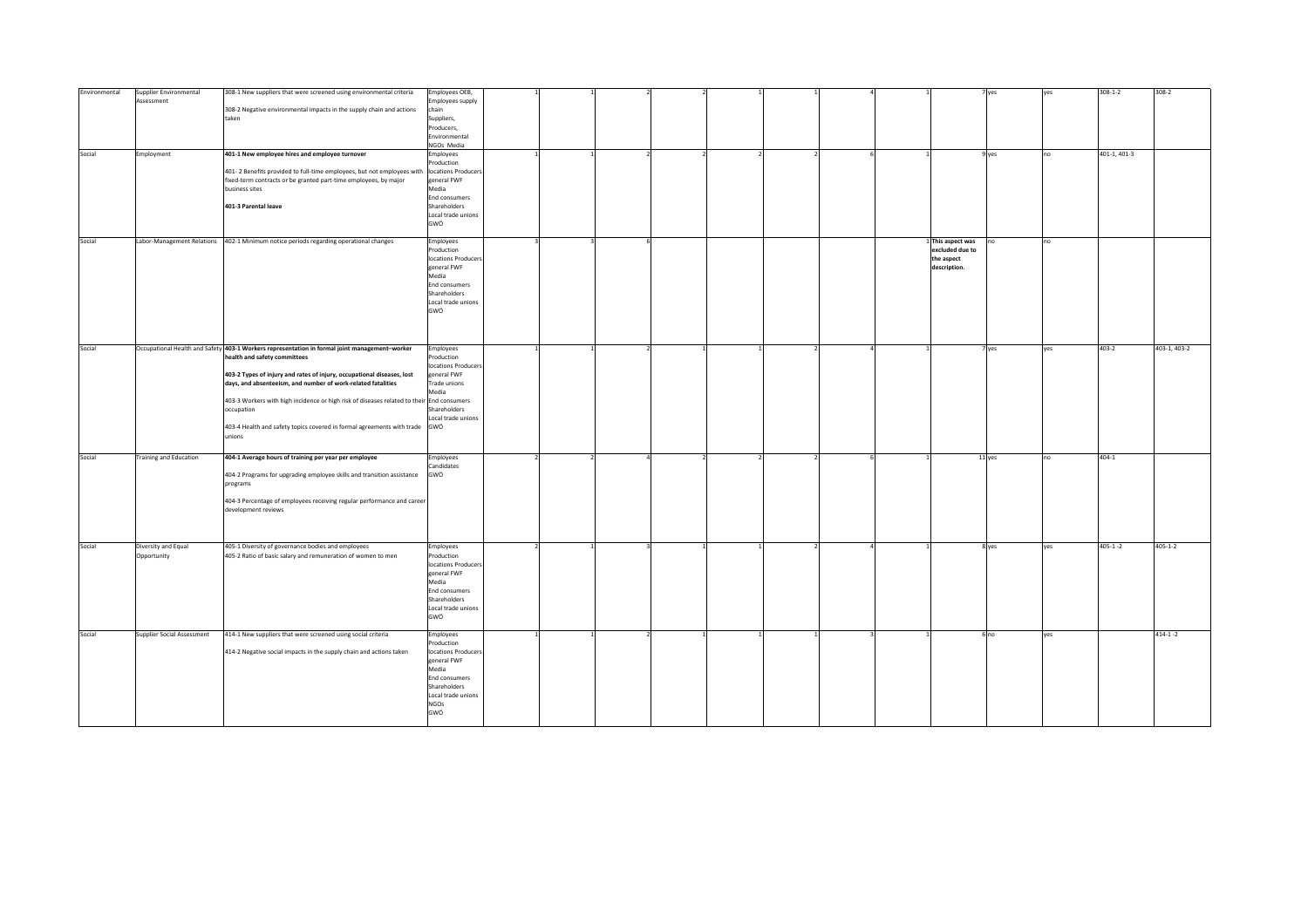| Environmental | Supplier Environmental            | 308-1 New suppliers that were screened using environmental criteria                                                           | Employees OEB,          |  |  |  |                   | 7 yes           | yes | $308 - 1 - 2$ | $308 - 2$     |
|---------------|-----------------------------------|-------------------------------------------------------------------------------------------------------------------------------|-------------------------|--|--|--|-------------------|-----------------|-----|---------------|---------------|
|               | Assessment                        |                                                                                                                               | mployees supply         |  |  |  |                   |                 |     |               |               |
|               |                                   | 308-2 Negative environmental impacts in the supply chain and actions                                                          | chain                   |  |  |  |                   |                 |     |               |               |
|               |                                   | taken                                                                                                                         | Suppliers,              |  |  |  |                   |                 |     |               |               |
|               |                                   |                                                                                                                               | Producers,              |  |  |  |                   |                 |     |               |               |
|               |                                   |                                                                                                                               | Environmental           |  |  |  |                   |                 |     |               |               |
|               |                                   |                                                                                                                               | NGOs Media              |  |  |  |                   |                 |     |               |               |
| Social        | Employment                        | 401-1 New employee hires and employee turnover                                                                                | Employees<br>Production |  |  |  |                   | 9 yes           | no. | 401-1, 401-3  |               |
|               |                                   | 401-2 Benefits provided to full-time employees, but not employees with                                                        | locations Producers     |  |  |  |                   |                 |     |               |               |
|               |                                   | fixed-term contracts or be granted part-time employees, by major                                                              | general FWF             |  |  |  |                   |                 |     |               |               |
|               |                                   | business sites                                                                                                                | Media                   |  |  |  |                   |                 |     |               |               |
|               |                                   |                                                                                                                               | End consumers           |  |  |  |                   |                 |     |               |               |
|               |                                   | 401-3 Parental leave                                                                                                          | Shareholders            |  |  |  |                   |                 |     |               |               |
|               |                                   |                                                                                                                               | Local trade unions      |  |  |  |                   |                 |     |               |               |
|               |                                   |                                                                                                                               | GWÖ                     |  |  |  |                   |                 |     |               |               |
| Social        | Labor-Management Relations        |                                                                                                                               |                         |  |  |  | 1 This aspect was |                 | no  |               |               |
|               |                                   | 402-1 Minimum notice periods regarding operational changes                                                                    | Employees<br>Production |  |  |  | excluded due to   |                 |     |               |               |
|               |                                   |                                                                                                                               | locations Producers     |  |  |  | the aspect        |                 |     |               |               |
|               |                                   |                                                                                                                               | general FWF             |  |  |  | description.      |                 |     |               |               |
|               |                                   |                                                                                                                               | Media                   |  |  |  |                   |                 |     |               |               |
|               |                                   |                                                                                                                               | End consumers           |  |  |  |                   |                 |     |               |               |
|               |                                   |                                                                                                                               | Shareholders            |  |  |  |                   |                 |     |               |               |
|               |                                   |                                                                                                                               | Local trade unions      |  |  |  |                   |                 |     |               |               |
|               |                                   |                                                                                                                               | GWÖ                     |  |  |  |                   |                 |     |               |               |
|               |                                   |                                                                                                                               |                         |  |  |  |                   |                 |     |               |               |
|               |                                   |                                                                                                                               |                         |  |  |  |                   |                 |     |               |               |
|               |                                   |                                                                                                                               |                         |  |  |  |                   |                 |     | $403 - 2$     |               |
| Social        |                                   | Occupational Health and Safety 403-1 Workers representation in formal joint management-worker<br>health and safety committees | Employees<br>Production |  |  |  |                   | 7 yes           | yes |               | 403-1, 403-2  |
|               |                                   |                                                                                                                               | locations Producers     |  |  |  |                   |                 |     |               |               |
|               |                                   | 403-2 Types of injury and rates of injury, occupational diseases, lost                                                        | general FWF             |  |  |  |                   |                 |     |               |               |
|               |                                   | days, and absenteeism, and number of work-related fatalities                                                                  | Trade unions            |  |  |  |                   |                 |     |               |               |
|               |                                   |                                                                                                                               | Media                   |  |  |  |                   |                 |     |               |               |
|               |                                   | 403-3 Workers with high incidence or high risk of diseases related to their End consumers                                     |                         |  |  |  |                   |                 |     |               |               |
|               |                                   | occupation                                                                                                                    | Shareholders            |  |  |  |                   |                 |     |               |               |
|               |                                   |                                                                                                                               | Local trade unions      |  |  |  |                   |                 |     |               |               |
|               |                                   | 403-4 Health and safety topics covered in formal agreements with trade<br>unions                                              | GWÖ                     |  |  |  |                   |                 |     |               |               |
|               |                                   |                                                                                                                               |                         |  |  |  |                   |                 |     |               |               |
|               |                                   |                                                                                                                               |                         |  |  |  |                   |                 |     |               |               |
| Social        | <b>Training and Education</b>     | 404-1 Average hours of training per year per employee                                                                         | Employees               |  |  |  |                   | 11 yes          | no  | $404 - 1$     |               |
|               |                                   | 404-2 Programs for upgrading employee skills and transition assistance                                                        | Candidates<br>GWÖ       |  |  |  |                   |                 |     |               |               |
|               |                                   | programs                                                                                                                      |                         |  |  |  |                   |                 |     |               |               |
|               |                                   |                                                                                                                               |                         |  |  |  |                   |                 |     |               |               |
|               |                                   | 404-3 Percentage of employees receiving regular performance and career                                                        |                         |  |  |  |                   |                 |     |               |               |
|               |                                   | development reviews                                                                                                           |                         |  |  |  |                   |                 |     |               |               |
|               |                                   |                                                                                                                               |                         |  |  |  |                   |                 |     |               |               |
|               |                                   |                                                                                                                               |                         |  |  |  |                   |                 |     |               |               |
|               |                                   |                                                                                                                               |                         |  |  |  |                   |                 |     |               |               |
| Social        | Diversity and Equal               | 405-1 Diversity of governance bodies and employees                                                                            | Employees               |  |  |  |                   | 8 yes           | yes | $405 - 1 - 2$ | $405 - 1 - 2$ |
|               | Opportunity                       | 405-2 Ratio of basic salary and remuneration of women to men                                                                  | Production              |  |  |  |                   |                 |     |               |               |
|               |                                   |                                                                                                                               | locations Producers     |  |  |  |                   |                 |     |               |               |
|               |                                   |                                                                                                                               | general FWF<br>Media    |  |  |  |                   |                 |     |               |               |
|               |                                   |                                                                                                                               | End consumers           |  |  |  |                   |                 |     |               |               |
|               |                                   |                                                                                                                               | Shareholders            |  |  |  |                   |                 |     |               |               |
|               |                                   |                                                                                                                               | Local trade unions      |  |  |  |                   |                 |     |               |               |
|               |                                   |                                                                                                                               | GWÖ                     |  |  |  |                   |                 |     |               |               |
|               |                                   |                                                                                                                               |                         |  |  |  |                   |                 |     |               |               |
| Social        | <b>Supplier Social Assessment</b> | 414-1 New suppliers that were screened using social criteria                                                                  | Employees               |  |  |  |                   | 6 <sub>no</sub> | yes |               | $414 - 1 - 2$ |
|               |                                   |                                                                                                                               | Production              |  |  |  |                   |                 |     |               |               |
|               |                                   | 414-2 Negative social impacts in the supply chain and actions taken                                                           | locations Producers     |  |  |  |                   |                 |     |               |               |
|               |                                   |                                                                                                                               | general FWF             |  |  |  |                   |                 |     |               |               |
|               |                                   |                                                                                                                               | Media<br>End consumers  |  |  |  |                   |                 |     |               |               |
|               |                                   |                                                                                                                               | Shareholders            |  |  |  |                   |                 |     |               |               |
|               |                                   |                                                                                                                               | Local trade unions      |  |  |  |                   |                 |     |               |               |
|               |                                   |                                                                                                                               | NGOs                    |  |  |  |                   |                 |     |               |               |
|               |                                   |                                                                                                                               | GWÖ                     |  |  |  |                   |                 |     |               |               |
|               |                                   |                                                                                                                               |                         |  |  |  |                   |                 |     |               |               |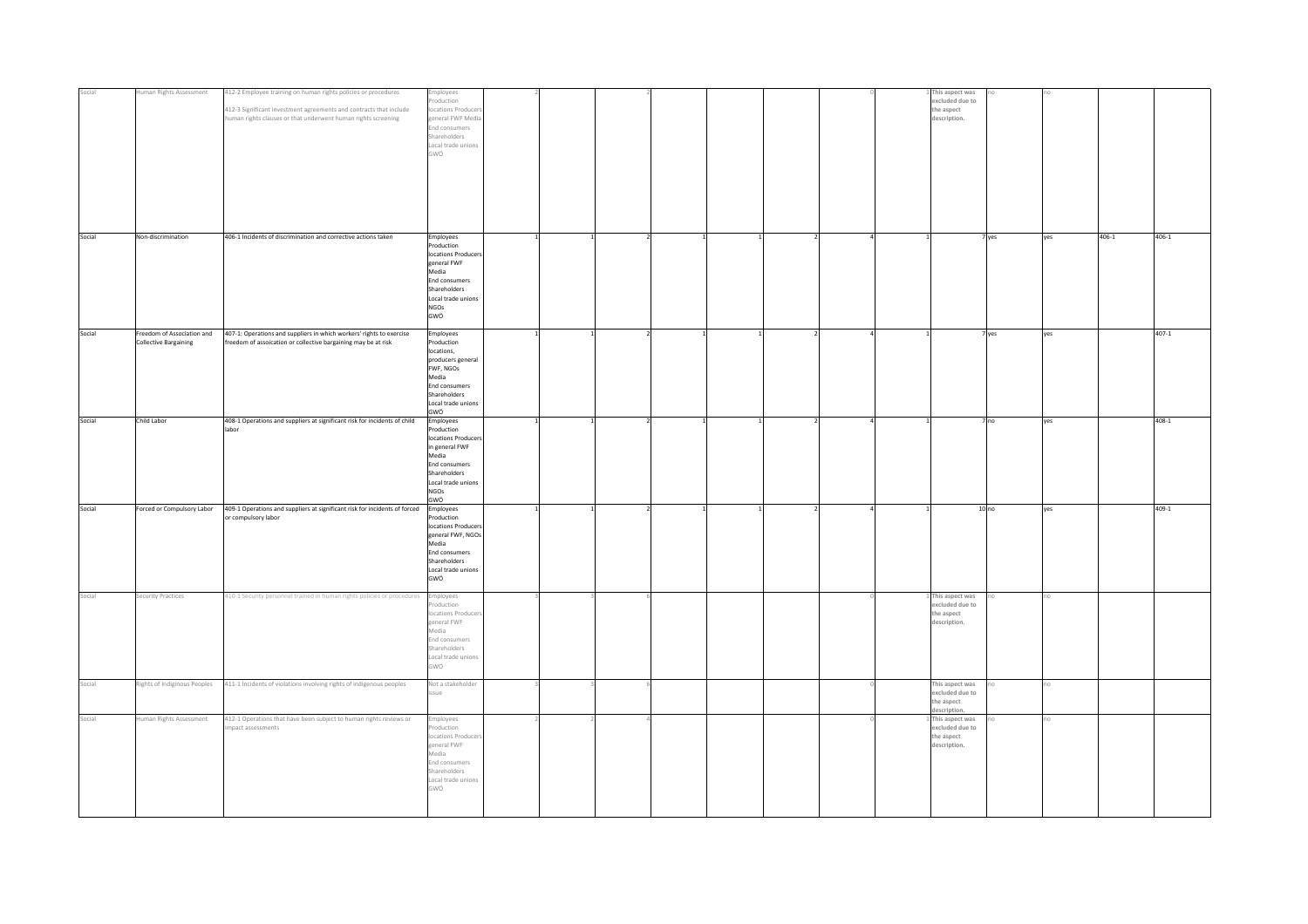| Social |                                                            |                                                                                                                                                                                                       |                                                                                                                                                               |  |  |  |                                                                    |                        |       |           |
|--------|------------------------------------------------------------|-------------------------------------------------------------------------------------------------------------------------------------------------------------------------------------------------------|---------------------------------------------------------------------------------------------------------------------------------------------------------------|--|--|--|--------------------------------------------------------------------|------------------------|-------|-----------|
|        | Human Rights Assessment                                    | 412-2 Employee training on human rights policies or procedures<br>412-3 Significant investment agreements and contracts that include<br>numan rights clauses or that underwent human rights screening | mployees<br>roduction<br>ocations Producer<br>eneral FWF Media<br>End consumers<br>Shareholders<br>Local trade unions<br>GWÖ                                  |  |  |  | 1 This aspect was<br>excluded due to<br>the aspect<br>description. |                        |       |           |
| Social | Non-discrimination                                         | 406-1 Incidents of discrimination and corrective actions taken                                                                                                                                        | Employees<br>Production<br>locations Producers<br>general FWF<br>Media<br>End consumers<br>Shareholders<br>Local trade unions<br><b>NGOs</b><br>GWÖ           |  |  |  |                                                                    | 7 yes<br>yes           | 406-1 | 406-1     |
| Social | Freedom of Association and<br><b>Collective Bargaining</b> | 407-1: Operations and suppliers in which workers' rights to exercise<br>freedom of assoication or collective bargaining may be at risk                                                                | Employees<br>Production<br>locations,<br>producers general<br>FWF, NGOs<br>Media<br><b>End consumers</b><br>Shareholders<br>Local trade unions<br>GWÖ         |  |  |  |                                                                    | 7 yes<br>yes           |       | $407 - 1$ |
| Social | Child Labor                                                | 408-1 Operations and suppliers at significant risk for incidents of child<br>ahor                                                                                                                     | Employees<br>Production<br>locations Producers<br>in general FWF<br>Media<br><b>End consumers</b><br>Shareholders<br>Local trade unions<br><b>NGOs</b><br>GWÖ |  |  |  |                                                                    | 7 <sub>no</sub><br>yes |       | 408-1     |
| Social | Forced or Compulsory Labor                                 | 409-1 Operations and suppliers at significant risk for incidents of forced Employees<br>or compulsory labor                                                                                           | Production<br>locations Producers<br>general FWF, NGOs<br>Media<br><b>End consumers</b><br>Shareholders<br>Local trade unions<br>GWÖ                          |  |  |  | 10 no                                                              | yes                    |       | 409-1     |
| Social | Security Practices                                         | 410-1 Security personnel trained in human rights policies or procedures                                                                                                                               | Employees<br>roduction<br>ocations Produce<br>eneral FWF<br>Media<br>End consumers<br>Shareholders<br>Local trade unions<br>GWÖ                               |  |  |  | 1 This aspect was<br>excluded due to<br>the aspect<br>description. |                        |       |           |
| Social | Rights of Indiginous Peoples                               | 411-1 Incidents of violations involving rights of indigenous peoples                                                                                                                                  | Not a stakeholder<br>ssue                                                                                                                                     |  |  |  | This aspect was<br>excluded due to<br>the aspect<br>lescription.   |                        |       |           |
| Social | Iuman Rights Assessment                                    | 412-1 Operations that have been subject to human rights reviews or<br>pact assessments                                                                                                                | mployees<br>roduction<br>locations Produce<br>general FWF<br>Media<br>End consumers<br>Shareholders<br>Local trade unions<br>GWÖ                              |  |  |  | 1 This aspect was<br>excluded due to<br>the aspect<br>description. |                        |       |           |